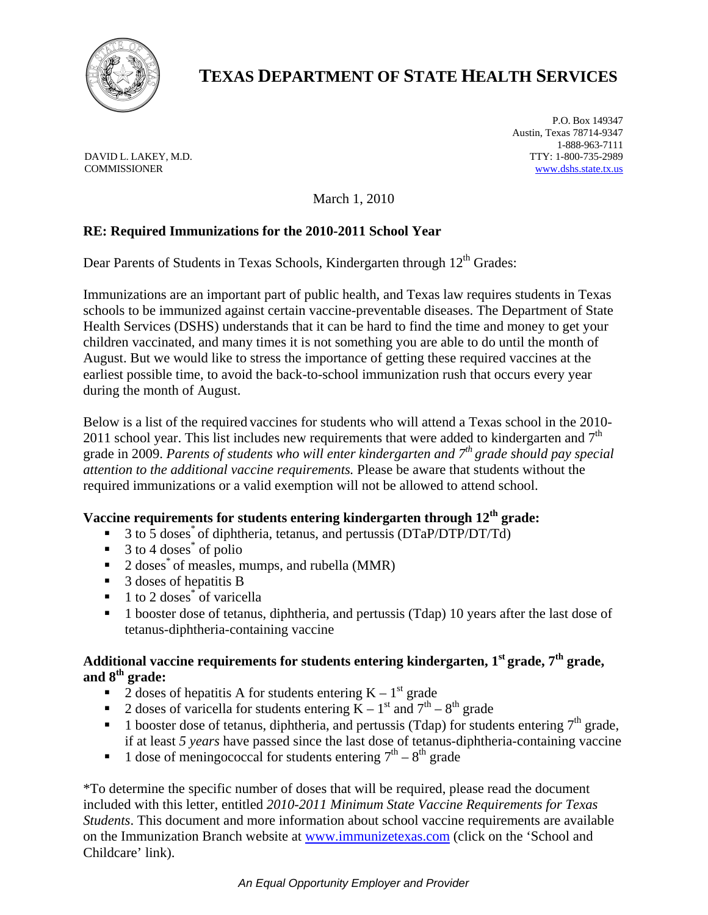

# **TEXAS DEPARTMENT OF STATE HEALTH SERVICES**

DAVID L. LAKEY, M.D. COMMISSIONER

P.O. Box 149347 Austin, Texas 78714-9347 1-888-963-7111 TTY: 1-800-735-2989 www.dshs.state.tx.us

March 1, 2010

## **RE: Required Immunizations for the 2010-2011 School Year**

Dear Parents of Students in Texas Schools, Kindergarten through 12<sup>th</sup> Grades:

Immunizations are an important part of public health, and Texas law requires students in Texas schools to be immunized against certain vaccine-preventable diseases. The Department of State Health Services (DSHS) understands that it can be hard to find the time and money to get your children vaccinated, and many times it is not something you are able to do until the month of August. But we would like to stress the importance of getting these required vaccines at the earliest possible time, to avoid the back-to-school immunization rush that occurs every year during the month of August.

Below is a list of the required vaccines for students who will attend a Texas school in the 2010- 2011 school year. This list includes new requirements that were added to kindergarten and  $7<sup>th</sup>$ grade in 2009. *Parents of students who will enter kindergarten and 7th grade should pay special attention to the additional vaccine requirements.* Please be aware that students without the required immunizations or a valid exemption will not be allowed to attend school.

## **Vaccine requirements for students entering kindergarten through 12th grade:**

- 3 to 5 doses<sup>\*</sup> of diphtheria, tetanus, and pertussis (DTaP/DTP/DT/Td)
- $\overline{\phantom{a}}$  3 to 4 doses<sup>\*</sup> of polio
- 2 doses<sup>\*</sup> of measles, mumps, and rubella (MMR)
- 3 doses of hepatitis B
- $\blacksquare$  1 to 2 doses<sup>\*</sup> of varicella
- <sup>1</sup> 1 booster dose of tetanus, diphtheria, and pertussis (Tdap) 10 years after the last dose of tetanus-diphtheria-containing vaccine

## **Additional vaccine requirements for students entering kindergarten, 1st grade, 7th grade, and 8th grade:**

- $\overline{2}$  doses of hepatitis A for students entering K 1<sup>st</sup> grade
- 2 doses of varicella for students entering  $\widetilde{K} 1$ <sup>st</sup> and  $7^{th} 8^{th}$  grade
- 1 booster dose of tetanus, diphtheria, and pertussis (Tdap) for students entering  $7<sup>th</sup>$  grade, if at least *5 years* have passed since the last dose of tetanus-diphtheria-containing vaccine
- 1 dose of meningococcal for students entering  $7<sup>th</sup> 8<sup>th</sup>$  grade

\*To determine the specific number of doses that will be required, please read the document included with this letter, entitled *2010-2011 Minimum State Vaccine Requirements for Texas Students*. This document and more information about school vaccine requirements are available on the Immunization Branch website at www.immunizetexas.com (click on the 'School and Childcare' link).

*An Equal Opportunity Employer and Provider*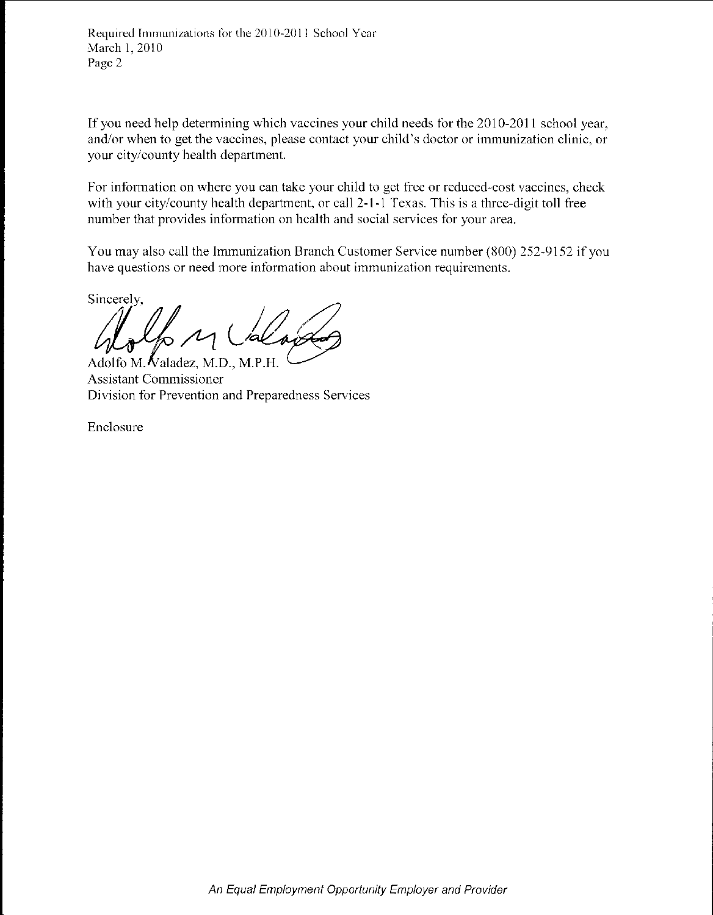Required Immunizations for the 2010-2011 School Year March 1, 2010 Page 2

If you need help determining which vaccines your child needs for the 2010-2011 school year, and/or when to get the vaccines, please contact your child's doctor or immunization clinic, or your city/county health department.

For information on where you can take your child to get free or reduced-cost vaccines, check with your city/county health department, or call 2-1-1 Texas. This is a three-digit toll free number that provides information on health and social services for your area.

You may also call the Immunization Branch Customer Service number (800) 252-9152 if you have questions or need more information about immunization requirements.

Sincerely,

Adolfo M.  $\mathcal{N}$ aladez, M.D., M.P.H. **Assistant Commissioner** Division for Prevention and Preparedness Services

Enclosure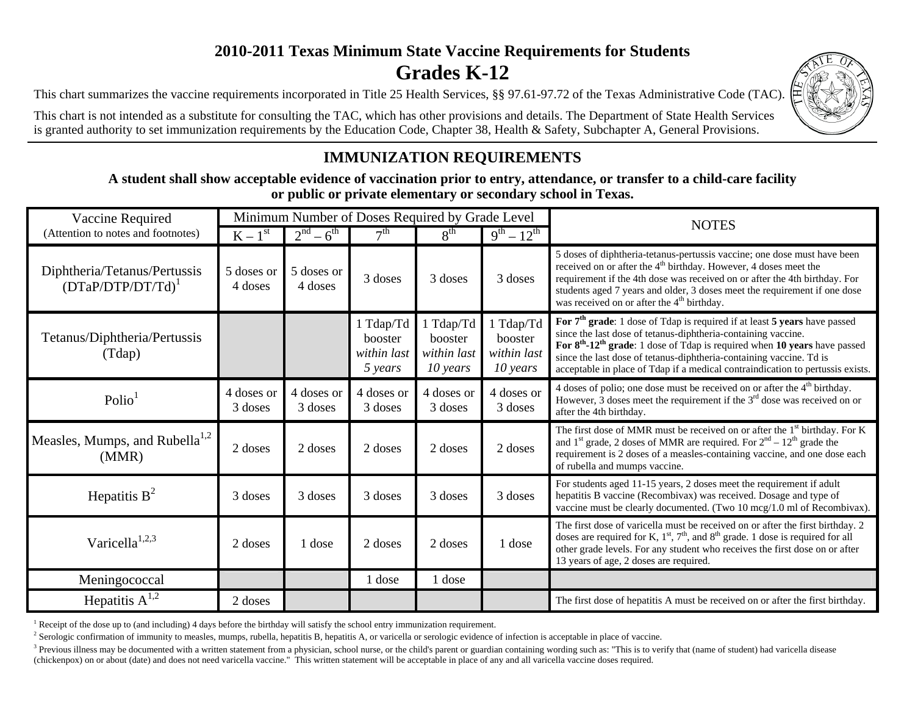# **2010-2011 Texas Minimum State Vaccine Requirements for Students Grades K-12**

This chart summarizes the vaccine requirements incorporated in Title 25 Health Services, §§ 97.61-97.72 of the Texas Administrative Code (TAC).

This chart is not intended as a substitute for consulting the TAC, which has other provisions and details. The Department of State Health Services is granted authority to set immunization requirements by the Education Code, Chapter 38, Health & Safety, Subchapter A, General Provisions.

# **IMMUNIZATION REQUIREMENTS**

**A student shall show acceptable evidence of vaccination prior to entry, attendance, or transfer to a child-care facility or public or private elementary or secondary school in Texas.** 

| Vaccine Required                                       | Minimum Number of Doses Required by Grade Level |                       |                                                |                                                         |                                                           | <b>NOTES</b>                                                                                                                                                                                                                                                                                                                                                                                                         |
|--------------------------------------------------------|-------------------------------------------------|-----------------------|------------------------------------------------|---------------------------------------------------------|-----------------------------------------------------------|----------------------------------------------------------------------------------------------------------------------------------------------------------------------------------------------------------------------------------------------------------------------------------------------------------------------------------------------------------------------------------------------------------------------|
| (Attention to notes and footnotes)                     | $K-1^{st}$                                      | $2nd - 6th$           | 7 <sup>th</sup>                                | 8 <sup>th</sup>                                         | $9^{th} - 12^{th}$                                        |                                                                                                                                                                                                                                                                                                                                                                                                                      |
| Diphtheria/Tetanus/Pertussis<br>$(DTaP/DTP/DT/Td)^{1}$ | 5 doses or<br>4 doses                           | 5 doses or<br>4 doses | 3 doses                                        | 3 doses                                                 | 3 doses                                                   | 5 doses of diphtheria-tetanus-pertussis vaccine; one dose must have been<br>received on or after the 4 <sup>th</sup> birthday. However, 4 doses meet the<br>requirement if the 4th dose was received on or after the 4th birthday. For<br>students aged 7 years and older, 3 doses meet the requirement if one dose<br>was received on or after the 4 <sup>th</sup> birthday.                                        |
| Tetanus/Diphtheria/Pertussis<br>(Tdap)                 |                                                 |                       | 1 Tdap/Td<br>booster<br>within last<br>5 years | Tdap/Td<br>booster<br>within last<br>$10 \text{ years}$ | I Tdap/Td<br>booster<br>within last<br>$10 \text{ years}$ | For 7 <sup>th</sup> grade: 1 dose of Tdap is required if at least 5 years have passed<br>since the last dose of tetanus-diphtheria-containing vaccine.<br>For 8 <sup>th</sup> -12 <sup>th</sup> grade: 1 dose of Tdap is required when 10 years have passed<br>since the last dose of tetanus-diphtheria-containing vaccine. Td is<br>acceptable in place of Tdap if a medical contraindication to pertussis exists. |
| Polio <sup>1</sup>                                     | 4 doses or<br>3 doses                           | 4 doses or<br>3 doses | 4 doses or<br>3 doses                          | 4 doses or<br>3 doses                                   | 4 doses or<br>3 doses                                     | 4 doses of polio; one dose must be received on or after the 4 <sup>th</sup> birthday.<br>However, $\bar{3}$ doses meet the requirement if the $3rd$ dose was received on or<br>after the 4th birthday.                                                                                                                                                                                                               |
| Measles, Mumps, and Rubella <sup>1,2</sup><br>(MMR)    | 2 doses                                         | 2 doses               | 2 doses                                        | 2 doses                                                 | 2 doses                                                   | The first dose of MMR must be received on or after the 1 <sup>st</sup> birthday. For K<br>and 1 <sup>st</sup> grade, 2 doses of MMR are required. For $2nd - 12th$ grade the<br>requirement is 2 doses of a measles-containing vaccine, and one dose each<br>of rubella and mumps vaccine.                                                                                                                           |
| Hepatitis $B^2$                                        | 3 doses                                         | 3 doses               | 3 doses                                        | 3 doses                                                 | 3 doses                                                   | For students aged 11-15 years, 2 doses meet the requirement if adult<br>hepatitis B vaccine (Recombivax) was received. Dosage and type of<br>vaccine must be clearly documented. (Two 10 mcg/1.0 ml of Recombivax).                                                                                                                                                                                                  |
| Varicella <sup>1,2,3</sup>                             | 2 doses                                         | 1 dose                | 2 doses                                        | 2 doses                                                 | 1 dose                                                    | The first dose of varicella must be received on or after the first birthday. 2<br>doses are required for K, $1st$ , $7th$ , and $8th$ grade. 1 dose is required for all<br>other grade levels. For any student who receives the first dose on or after<br>13 years of age, 2 doses are required.                                                                                                                     |
| Meningococcal                                          |                                                 |                       | 1 dose                                         | 1 dose                                                  |                                                           |                                                                                                                                                                                                                                                                                                                                                                                                                      |
| Hepatitis $A^{1,2}$                                    | 2 doses                                         |                       |                                                |                                                         |                                                           | The first dose of hepatitis A must be received on or after the first birthday.                                                                                                                                                                                                                                                                                                                                       |

<sup>1</sup> Receipt of the dose up to (and including) 4 days before the birthday will satisfy the school entry immunization requirement.<br><sup>2</sup> Serologic confirmation of immunity to measles, mumps, rubella, hepatitis B, hepatitis A, (chickenpox) on or about (date) and does not need varicella vaccine." This written statement will be acceptable in place of any and all varicella vaccine doses required.